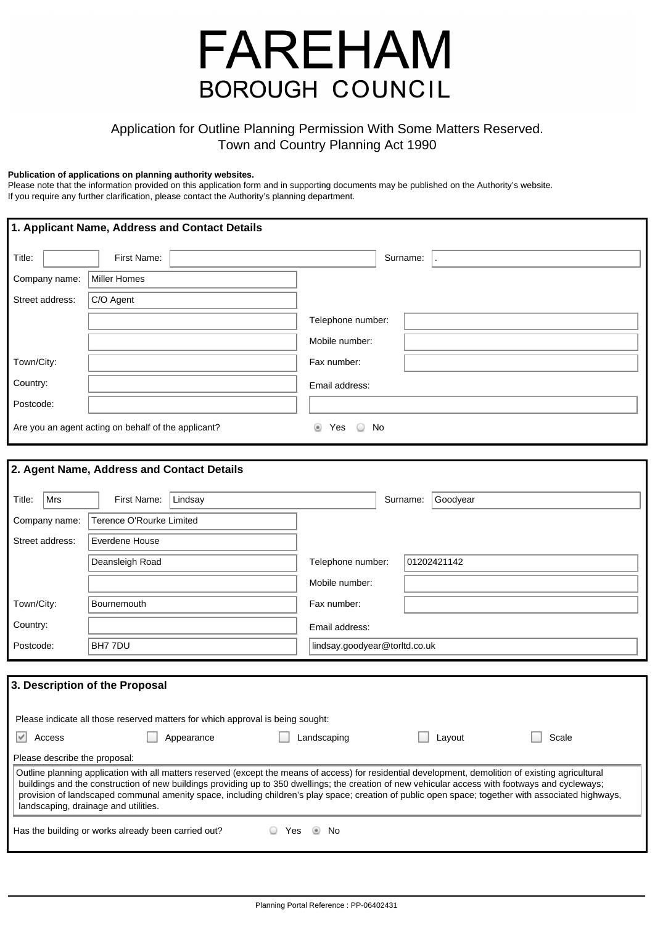# **FAREHAM BOROUGH COUNCIL**

# Application for Outline Planning Permission With Some Matters Reserved. Town and Country Planning Act 1990

#### **Publication of applications on planning authority websites.**

Please note that the information provided on this application form and in supporting documents may be published on the Authority's website. If you require any further clarification, please contact the Authority's planning department.

| 1. Applicant Name, Address and Contact Details |                                                     |                           |  |  |  |  |  |  |
|------------------------------------------------|-----------------------------------------------------|---------------------------|--|--|--|--|--|--|
| Title:                                         | First Name:                                         | Surname:                  |  |  |  |  |  |  |
| Company name:                                  | Miller Homes                                        |                           |  |  |  |  |  |  |
| Street address:                                | C/O Agent                                           |                           |  |  |  |  |  |  |
|                                                |                                                     | Telephone number:         |  |  |  |  |  |  |
|                                                |                                                     | Mobile number:            |  |  |  |  |  |  |
| Town/City:                                     |                                                     | Fax number:               |  |  |  |  |  |  |
| Country:                                       |                                                     | Email address:            |  |  |  |  |  |  |
| Postcode:                                      |                                                     |                           |  |  |  |  |  |  |
|                                                | Are you an agent acting on behalf of the applicant? | Yes<br>No<br>◉<br>$\circ$ |  |  |  |  |  |  |

| Mrs<br>Title:   | First Name:              | Lindsay |                               | Goodyear<br>Surname: |  |
|-----------------|--------------------------|---------|-------------------------------|----------------------|--|
| Company name:   | Terence O'Rourke Limited |         |                               |                      |  |
| Street address: | Everdene House           |         |                               |                      |  |
|                 | Deansleigh Road          |         | Telephone number:             | 01202421142          |  |
|                 |                          |         | Mobile number:                |                      |  |
| Town/City:      | Bournemouth              |         | Fax number:                   |                      |  |
| Country:        |                          |         | Email address:                |                      |  |
| Postcode:       | BH7 7DU                  |         | lindsay.goodyear@torltd.co.uk |                      |  |

|                                                                                                                                                                                                                                                                                                                                                                                                                                                                                                        | Please indicate all those reserved matters for which approval is being sought: |             |        |       |  |  |  |  |
|--------------------------------------------------------------------------------------------------------------------------------------------------------------------------------------------------------------------------------------------------------------------------------------------------------------------------------------------------------------------------------------------------------------------------------------------------------------------------------------------------------|--------------------------------------------------------------------------------|-------------|--------|-------|--|--|--|--|
| Access                                                                                                                                                                                                                                                                                                                                                                                                                                                                                                 | Appearance                                                                     | Landscaping | Lavout | Scale |  |  |  |  |
| Please describe the proposal:                                                                                                                                                                                                                                                                                                                                                                                                                                                                          |                                                                                |             |        |       |  |  |  |  |
| Outline planning application with all matters reserved (except the means of access) for residential development, demolition of existing agricultural<br>buildings and the construction of new buildings providing up to 350 dwellings; the creation of new vehicular access with footways and cycleways;<br>provision of landscaped communal amenity space, including children's play space; creation of public open space; together with associated highways,<br>landscaping, drainage and utilities. |                                                                                |             |        |       |  |  |  |  |
| Has the building or works already been carried out?<br>N٥<br>res                                                                                                                                                                                                                                                                                                                                                                                                                                       |                                                                                |             |        |       |  |  |  |  |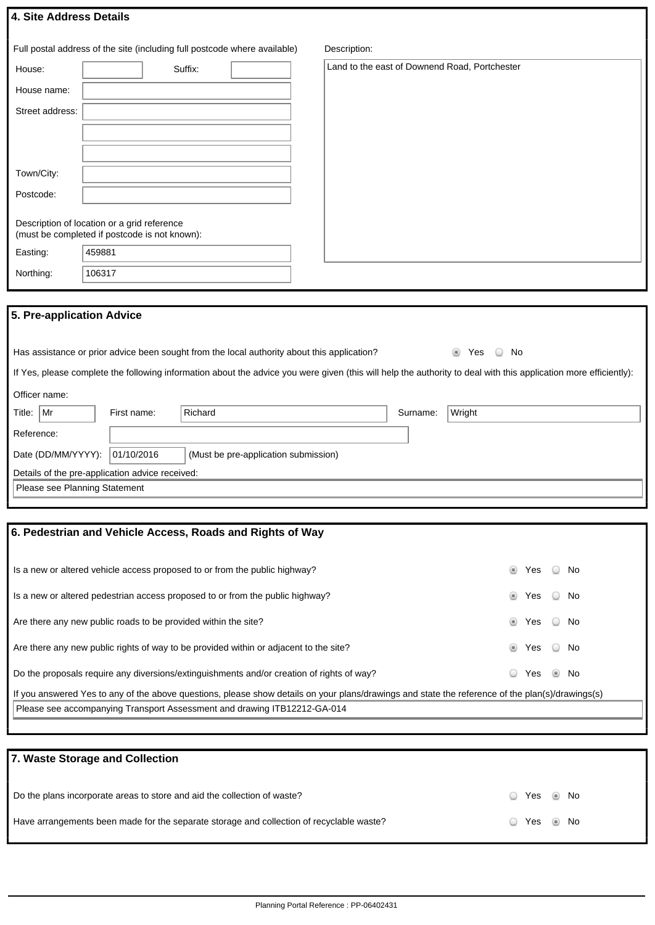|  |  | 4. Site Address Details |  |  |
|--|--|-------------------------|--|--|
|--|--|-------------------------|--|--|

|                           | Full postal address of the site (including full postcode where available)                    | Description:                                  |
|---------------------------|----------------------------------------------------------------------------------------------|-----------------------------------------------|
| House:                    | Suffix:                                                                                      | Land to the east of Downend Road, Portchester |
| House name:               |                                                                                              |                                               |
| Street address:           |                                                                                              |                                               |
|                           |                                                                                              |                                               |
|                           |                                                                                              |                                               |
| Town/City:                |                                                                                              |                                               |
| Postcode:                 |                                                                                              |                                               |
|                           | Description of location or a grid reference<br>(must be completed if postcode is not known): |                                               |
| Easting:                  | 459881                                                                                       |                                               |
| Northing:                 | 106317                                                                                       |                                               |
|                           |                                                                                              |                                               |
| 5. Pre-application Advice |                                                                                              |                                               |

| If Yes, please complete the following information about the advice you were given (this will help the authority to deal with this application more efficiently): |               |             |         |          |        |  |  |  |  |
|------------------------------------------------------------------------------------------------------------------------------------------------------------------|---------------|-------------|---------|----------|--------|--|--|--|--|
|                                                                                                                                                                  | Officer name: |             |         |          |        |  |  |  |  |
| Title:   Mr                                                                                                                                                      |               | First name: | Richard | Surname: | Wright |  |  |  |  |
| Reference:                                                                                                                                                       |               |             |         |          |        |  |  |  |  |

Has assistance or prior advice been sought from the local authority about this application? No No

| ngiaighe.                       |                                                 |                                      |  |  |  |  |  |  |  |  |
|---------------------------------|-------------------------------------------------|--------------------------------------|--|--|--|--|--|--|--|--|
| Date (DD/MM/YYYY):   01/10/2016 |                                                 | (Must be pre-application submission) |  |  |  |  |  |  |  |  |
|                                 | Details of the pre-application advice received: |                                      |  |  |  |  |  |  |  |  |
| Please see Planning Statement   |                                                 |                                      |  |  |  |  |  |  |  |  |

# **6. Pedestrian and Vehicle Access, Roads and Rights of Way**

| Is a new or altered vehicle access proposed to or from the public highway?                                                                       | ۰             | Yes No |                |     |  |  |  |  |
|--------------------------------------------------------------------------------------------------------------------------------------------------|---------------|--------|----------------|-----|--|--|--|--|
| Is a new or altered pedestrian access proposed to or from the public highway?                                                                    | $\circledast$ | Yes    | $\cup$         | No. |  |  |  |  |
| Are there any new public roads to be provided within the site?                                                                                   | $\circledast$ | Yes No |                |     |  |  |  |  |
| Are there any new public rights of way to be provided within or adjacent to the site?                                                            | ۰             | Yes    | $\circ$        | No. |  |  |  |  |
| Do the proposals require any diversions/extinguishments and/or creation of rights of way?                                                        |               | Yes    | $\circledcirc$ | No. |  |  |  |  |
| If you answered Yes to any of the above questions, please show details on your plans/drawings and state the reference of the plan(s)/drawings(s) |               |        |                |     |  |  |  |  |
| Please see accompanying Transport Assessment and drawing ITB12212-GA-014                                                                         |               |        |                |     |  |  |  |  |
|                                                                                                                                                  |               |        |                |     |  |  |  |  |

| 7. Waste Storage and Collection                                                          |          |  |
|------------------------------------------------------------------------------------------|----------|--|
| Do the plans incorporate areas to store and aid the collection of waste?                 | Yes Mo   |  |
| Have arrangements been made for the separate storage and collection of recyclable waste? | Yes @ No |  |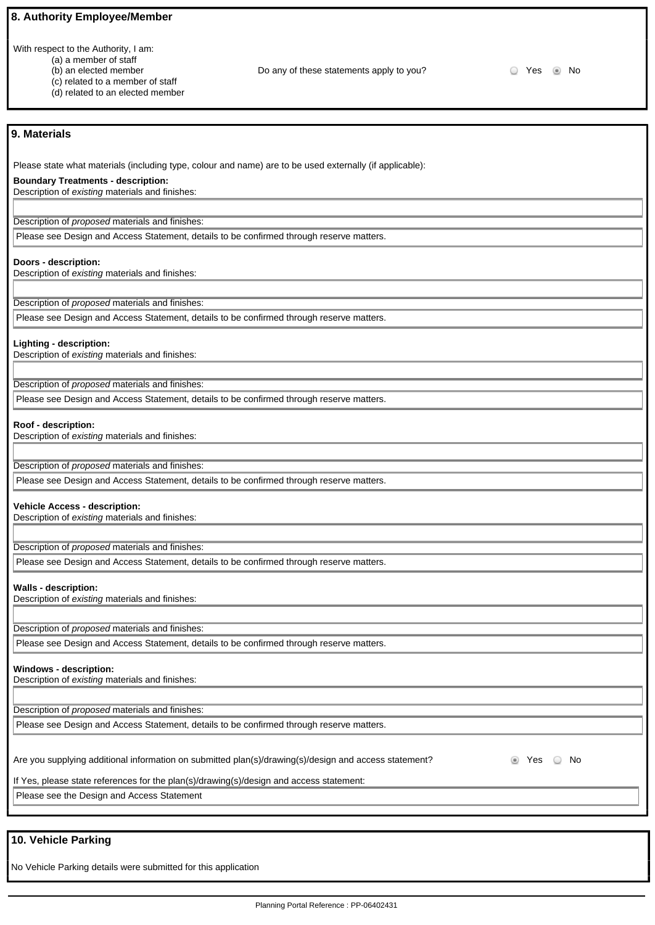#### **8. Authority Employee/Member**

With respect to the Authority, I am:

- (a) a member of staff
- (b) an elected member
- (c) related to a member of staff
- (d) related to an elected member

Do any of these statements apply to you?  $\Box$  Yes  $\Box$  No

#### **9. Materials**

Please state what materials (including type, colour and name) are to be used externally (if applicable):

#### **Boundary Treatments - description:**

Description of existing materials and finishes:

Description of proposed materials and finishes: Please see Design and Access Statement, details to be confirmed through reserve matters.

#### **Doors - description:**

Description of existing materials and finishes:

Description of proposed materials and finishes:

Please see Design and Access Statement, details to be confirmed through reserve matters.

#### **Lighting - description:**

Description of existing materials and finishes:

Description of proposed materials and finishes:

Please see Design and Access Statement, details to be confirmed through reserve matters.

#### **Roof - description:**

Description of existing materials and finishes:

Description of proposed materials and finishes:

Please see Design and Access Statement, details to be confirmed through reserve matters.

#### **Vehicle Access - description:**

Description of existing materials and finishes:

Description of proposed materials and finishes:

Please see Design and Access Statement, details to be confirmed through reserve matters.

#### **Walls - description:**

Description of existing materials and finishes:

Description of proposed materials and finishes:

Please see Design and Access Statement, details to be confirmed through reserve matters.

#### **Windows - description:**

Description of existing materials and finishes:

Description of proposed materials and finishes:

Please see Design and Access Statement, details to be confirmed through reserve matters.

Are you supplying additional information on submitted plan(s)/drawing(s)/design and access statement?  $\bullet$  Yes  $\circ$  No

If Yes, please state references for the plan(s)/drawing(s)/design and access statement:

Please see the Design and Access Statement

# **10. Vehicle Parking**

No Vehicle Parking details were submitted for this application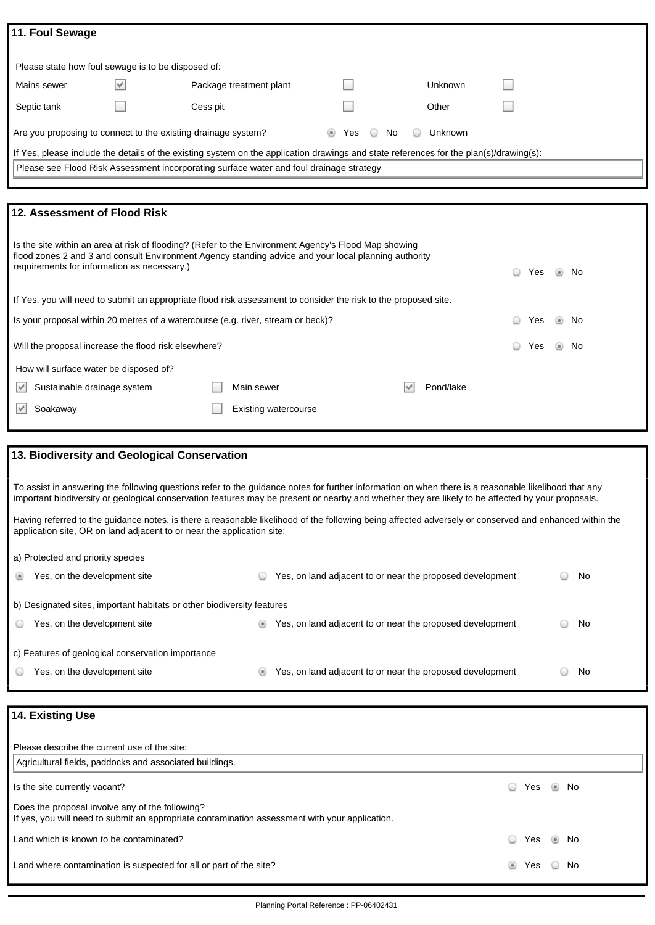| 11. Foul Sewage                                                                                                                                                                                                                                             |  |          |                             |  |     |    |   |           |  |     |  |    |  |
|-------------------------------------------------------------------------------------------------------------------------------------------------------------------------------------------------------------------------------------------------------------|--|----------|-----------------------------|--|-----|----|---|-----------|--|-----|--|----|--|
|                                                                                                                                                                                                                                                             |  |          |                             |  |     |    |   |           |  |     |  |    |  |
| Please state how foul sewage is to be disposed of:                                                                                                                                                                                                          |  |          |                             |  |     |    |   |           |  |     |  |    |  |
|                                                                                                                                                                                                                                                             |  |          |                             |  |     |    |   |           |  |     |  |    |  |
| Mains sewer<br>M<br>Package treatment plant<br><b>Unknown</b>                                                                                                                                                                                               |  |          |                             |  |     |    |   |           |  |     |  |    |  |
| Septic tank                                                                                                                                                                                                                                                 |  | Cess pit |                             |  |     |    |   | Other     |  |     |  |    |  |
| Are you proposing to connect to the existing drainage system?                                                                                                                                                                                               |  |          |                             |  | Yes | No |   | Unknown   |  |     |  |    |  |
| If Yes, please include the details of the existing system on the application drawings and state references for the plan(s)/drawing(s):                                                                                                                      |  |          |                             |  |     |    |   |           |  |     |  |    |  |
| Please see Flood Risk Assessment incorporating surface water and foul drainage strategy                                                                                                                                                                     |  |          |                             |  |     |    |   |           |  |     |  |    |  |
|                                                                                                                                                                                                                                                             |  |          |                             |  |     |    |   |           |  |     |  |    |  |
| 12. Assessment of Flood Risk                                                                                                                                                                                                                                |  |          |                             |  |     |    |   |           |  |     |  |    |  |
|                                                                                                                                                                                                                                                             |  |          |                             |  |     |    |   |           |  |     |  |    |  |
| Is the site within an area at risk of flooding? (Refer to the Environment Agency's Flood Map showing<br>flood zones 2 and 3 and consult Environment Agency standing advice and your local planning authority<br>requirements for information as necessary.) |  |          |                             |  |     |    |   |           |  | Yes |  | No |  |
| If Yes, you will need to submit an appropriate flood risk assessment to consider the risk to the proposed site.                                                                                                                                             |  |          |                             |  |     |    |   |           |  |     |  |    |  |
| Is your proposal within 20 metres of a watercourse (e.g. river, stream or beck)?                                                                                                                                                                            |  |          |                             |  |     |    |   |           |  | Yes |  | No |  |
| Will the proposal increase the flood risk elsewhere?                                                                                                                                                                                                        |  |          |                             |  |     |    |   |           |  | Yes |  | No |  |
| How will surface water be disposed of?                                                                                                                                                                                                                      |  |          |                             |  |     |    |   |           |  |     |  |    |  |
| Sustainable drainage system                                                                                                                                                                                                                                 |  |          | Main sewer                  |  |     |    | v | Pond/lake |  |     |  |    |  |
| Soakaway<br>⊭                                                                                                                                                                                                                                               |  |          | <b>Existing watercourse</b> |  |     |    |   |           |  |     |  |    |  |
|                                                                                                                                                                                                                                                             |  |          |                             |  |     |    |   |           |  |     |  |    |  |
|                                                                                                                                                                                                                                                             |  |          |                             |  |     |    |   |           |  |     |  |    |  |
| 13. Biodiversity and Geological Conservation                                                                                                                                                                                                                |  |          |                             |  |     |    |   |           |  |     |  |    |  |

To assist in answering the following questions refer to the guidance notes for further information on when there is a reasonable likelihood that any important biodiversity or geological conservation features may be present or nearby and whether they are likely to be affected by your proposals.

Having referred to the guidance notes, is there a reasonable likelihood of the following being affected adversely or conserved and enhanced within the application site, OR on land adjacent to or near the application site:

a) Protected and priority species

| Yes, on the development site                                           |  | Yes, on land adjacent to or near the proposed development |  | No |  |  |  |  |  |  |
|------------------------------------------------------------------------|--|-----------------------------------------------------------|--|----|--|--|--|--|--|--|
| b) Designated sites, important habitats or other biodiversity features |  |                                                           |  |    |  |  |  |  |  |  |
| Yes, on the development site                                           |  | Yes, on land adjacent to or near the proposed development |  | No |  |  |  |  |  |  |
| c) Features of geological conservation importance                      |  |                                                           |  |    |  |  |  |  |  |  |
| Yes, on the development site                                           |  | Yes, on land adjacent to or near the proposed development |  | No |  |  |  |  |  |  |

| 14. Existing Use                                                                                                                                  |        |        |                |     |
|---------------------------------------------------------------------------------------------------------------------------------------------------|--------|--------|----------------|-----|
| Please describe the current use of the site:                                                                                                      |        |        |                |     |
| Agricultural fields, paddocks and associated buildings.                                                                                           |        |        |                |     |
| Is the site currently vacant?                                                                                                                     | □      | Yes No |                |     |
| Does the proposal involve any of the following?<br>If yes, you will need to submit an appropriate contamination assessment with your application. |        |        |                |     |
| Land which is known to be contaminated?                                                                                                           | $\Box$ | Yes    | $\circledcirc$ | No. |
| Land where contamination is suspected for all or part of the site?                                                                                | ۰      | Yes    |                | No  |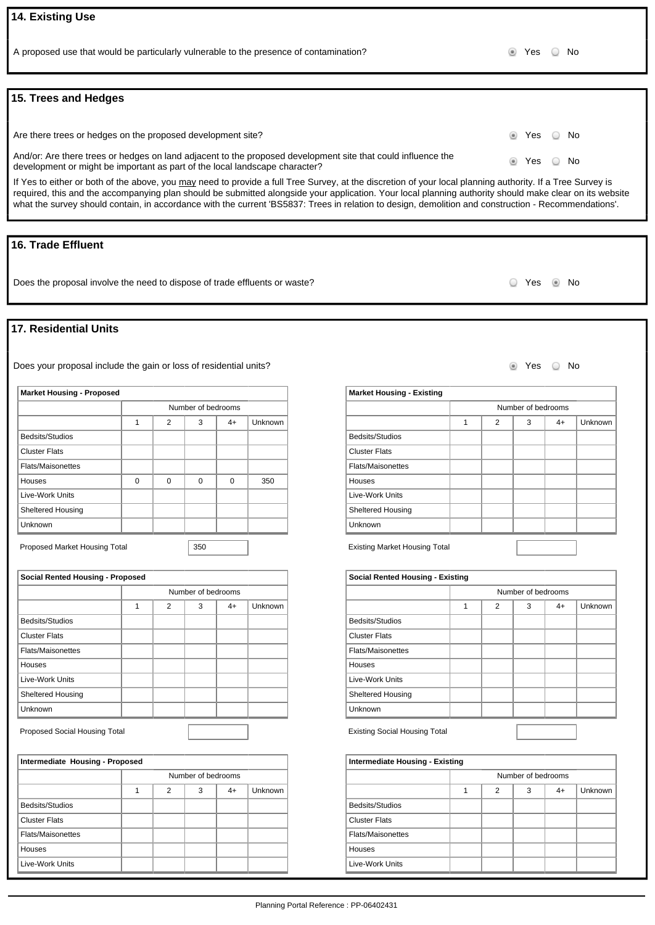# **14. Existing Use**

A proposed use that would be particularly vulnerable to the presence of contamination? No was not all the Ves No

#### **15. Trees and Hedges**

Are there trees or hedges on the proposed development site? And the state of the state of the State of No No No And/or: Are there trees or hedges on land adjacent to the proposed development site that could influence the Androi. Are there trees or heages on land adjacent to the proposed development site that codid imidence the street of the Street No. No development or might be important as part of the local landscape character?

If Yes to either or both of the above, you may need to provide a full Tree Survey, at the discretion of your local planning authority. If a Tree Survey is required, this and the accompanying plan should be submitted alongside your application. Your local planning authority should make clear on its website what the survey should contain, in accordance with the current 'BS5837: Trees in relation to design, demolition and construction - Recommendations'.

#### **16. Trade Effluent**

Does the proposal involve the need to dispose of trade effluents or waste? No COMP No Ves COMP No

#### **17. Residential Units**

Does your proposal include the gain or loss of residential units?<br>
Note that the gain of loss of residential units?

| <b>Market Housing - Proposed</b> |          |          |                    |          |         |  |  |
|----------------------------------|----------|----------|--------------------|----------|---------|--|--|
|                                  |          |          | Number of bedrooms |          |         |  |  |
|                                  | 1        | 2        | 3                  | $4+$     | Unknown |  |  |
| Bedsits/Studios                  |          |          |                    |          |         |  |  |
| <b>Cluster Flats</b>             |          |          |                    |          |         |  |  |
| <b>Flats/Maisonettes</b>         |          |          |                    |          |         |  |  |
| Houses                           | $\Omega$ | $\Omega$ | $\Omega$           | $\Omega$ | 350     |  |  |
| Live-Work Units                  |          |          |                    |          |         |  |  |
| <b>Sheltered Housing</b>         |          |          |                    |          |         |  |  |
| Unknown                          |          |          |                    |          |         |  |  |
|                                  |          |          |                    |          |         |  |  |

Proposed Market Housing Total **350** 

| <b>Social Rented Housing - Proposed</b> |   |                |                    |      |         |  |  |
|-----------------------------------------|---|----------------|--------------------|------|---------|--|--|
|                                         |   |                | Number of bedrooms |      |         |  |  |
|                                         | 1 | $\overline{2}$ | 3                  | $4+$ | Unknown |  |  |
| Bedsits/Studios                         |   |                |                    |      |         |  |  |
| <b>Cluster Flats</b>                    |   |                |                    |      |         |  |  |
| <b>Flats/Maisonettes</b>                |   |                |                    |      |         |  |  |
| Houses                                  |   |                |                    |      |         |  |  |
| Live-Work Units                         |   |                |                    |      |         |  |  |
| Sheltered Housing                       |   |                |                    |      |         |  |  |
| Unknown                                 |   |                |                    |      |         |  |  |

Proposed Social Housing Total

| Intermediate Housing - Proposed |  |   |                    |      |         |  |  |
|---------------------------------|--|---|--------------------|------|---------|--|--|
|                                 |  |   | Number of bedrooms |      |         |  |  |
|                                 |  | 2 | 3                  | $4+$ | Unknown |  |  |
| Bedsits/Studios                 |  |   |                    |      |         |  |  |
| <b>Cluster Flats</b>            |  |   |                    |      |         |  |  |
| <b>Flats/Maisonettes</b>        |  |   |                    |      |         |  |  |
| <b>Houses</b>                   |  |   |                    |      |         |  |  |
| Live-Work Units                 |  |   |                    |      |         |  |  |

| <b>Market Housing - Existing</b> |   |   |                    |      |         |
|----------------------------------|---|---|--------------------|------|---------|
|                                  |   |   | Number of bedrooms |      |         |
|                                  | 1 | 2 | 3                  | $4+$ | Unknown |
| Bedsits/Studios                  |   |   |                    |      |         |
| <b>Cluster Flats</b>             |   |   |                    |      |         |
| <b>Flats/Maisonettes</b>         |   |   |                    |      |         |
| Houses                           |   |   |                    |      |         |
| Live-Work Units                  |   |   |                    |      |         |
| <b>Sheltered Housing</b>         |   |   |                    |      |         |
| <b>Unknown</b>                   |   |   |                    |      |         |

Existing Market Housing Total

| <b>Social Rented Housing - Existing</b> |   |   |                    |      |         |  |  |
|-----------------------------------------|---|---|--------------------|------|---------|--|--|
|                                         |   |   | Number of bedrooms |      |         |  |  |
|                                         | 1 | 2 | 3                  | $4+$ | Unknown |  |  |
| Bedsits/Studios                         |   |   |                    |      |         |  |  |
| <b>Cluster Flats</b>                    |   |   |                    |      |         |  |  |
| <b>Flats/Maisonettes</b>                |   |   |                    |      |         |  |  |
| Houses                                  |   |   |                    |      |         |  |  |
| Live-Work Units                         |   |   |                    |      |         |  |  |
| <b>Sheltered Housing</b>                |   |   |                    |      |         |  |  |
| Unknown                                 |   |   |                    |      |         |  |  |
|                                         |   |   |                    |      |         |  |  |

Existing Social Housing Total

| <b>Intermediate Housing - Existing</b> |  |                    |   |      |         |  |  |  |
|----------------------------------------|--|--------------------|---|------|---------|--|--|--|
|                                        |  | Number of bedrooms |   |      |         |  |  |  |
|                                        |  | 2                  | 3 | $4+$ | Unknown |  |  |  |
| Bedsits/Studios                        |  |                    |   |      |         |  |  |  |
| <b>Cluster Flats</b>                   |  |                    |   |      |         |  |  |  |
| <b>Flats/Maisonettes</b>               |  |                    |   |      |         |  |  |  |
| Houses                                 |  |                    |   |      |         |  |  |  |
| Live-Work Units                        |  |                    |   |      |         |  |  |  |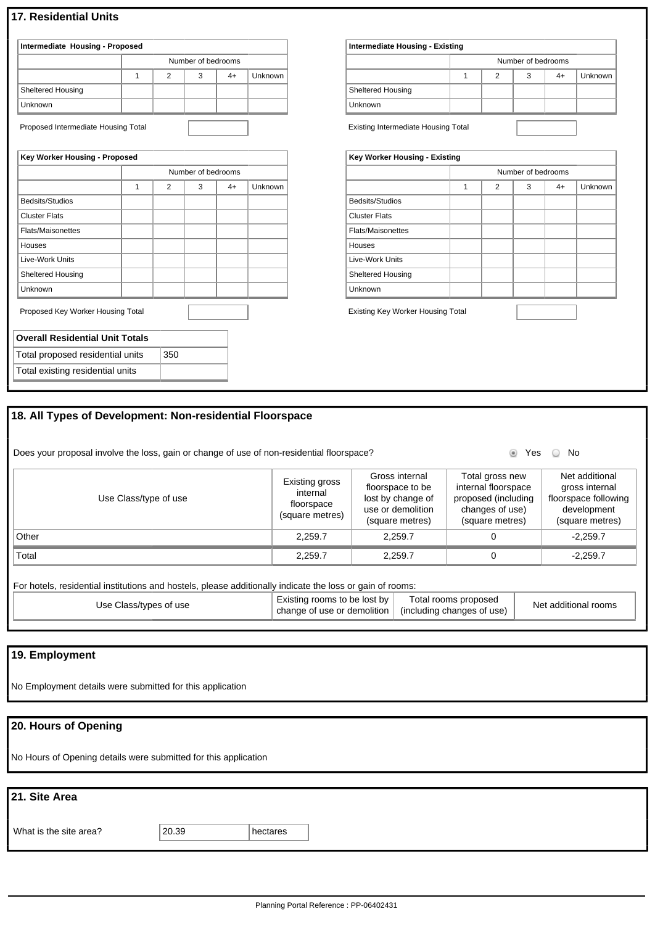### **17. Residential Units**

| Intermediate Housing - Proposed |                    |   |   |    |         |  |  |
|---------------------------------|--------------------|---|---|----|---------|--|--|
|                                 | Number of bedrooms |   |   |    |         |  |  |
|                                 |                    | 2 | 3 | 4+ | Unknown |  |  |
| <b>Sheltered Housing</b>        |                    |   |   |    |         |  |  |
| Unknown                         |                    |   |   |    |         |  |  |

Proposed Intermediate Housing Total

| Key Worker Housing - Proposed          |   |     |                    |      |         |
|----------------------------------------|---|-----|--------------------|------|---------|
|                                        |   |     | Number of bedrooms |      |         |
|                                        | 1 | 2   | 3                  | $4+$ | Unknown |
| Bedsits/Studios                        |   |     |                    |      |         |
| <b>Cluster Flats</b>                   |   |     |                    |      |         |
| <b>Flats/Maisonettes</b>               |   |     |                    |      |         |
| Houses                                 |   |     |                    |      |         |
| Live-Work Units                        |   |     |                    |      |         |
| <b>Sheltered Housing</b>               |   |     |                    |      |         |
| Unknown                                |   |     |                    |      |         |
| Proposed Key Worker Housing Total      |   |     |                    |      |         |
| <b>Overall Residential Unit Totals</b> |   |     |                    |      |         |
| Total proposed residential units       |   | 350 |                    |      |         |
| Total existing residential units       |   |     |                    |      |         |

| Intermediate Housing - Existing |                    |  |   |    |                |  |
|---------------------------------|--------------------|--|---|----|----------------|--|
|                                 | Number of bedrooms |  |   |    |                |  |
|                                 |                    |  | 3 | 4+ | <b>Unknown</b> |  |
| Sheltered Housing               |                    |  |   |    |                |  |
| Unknown                         |                    |  |   |    |                |  |
|                                 |                    |  |   |    |                |  |

Existing Intermediate Housing Total

| Key Worker Housing - Existing |   |                |                    |      |         |  |  |
|-------------------------------|---|----------------|--------------------|------|---------|--|--|
|                               |   |                | Number of bedrooms |      |         |  |  |
|                               | 1 | $\overline{2}$ | 3                  | $4+$ | Unknown |  |  |
| Bedsits/Studios               |   |                |                    |      |         |  |  |
| <b>Cluster Flats</b>          |   |                |                    |      |         |  |  |
| <b>Flats/Maisonettes</b>      |   |                |                    |      |         |  |  |
| Houses                        |   |                |                    |      |         |  |  |
| Live-Work Units               |   |                |                    |      |         |  |  |
| <b>Sheltered Housing</b>      |   |                |                    |      |         |  |  |
| Unknown                       |   |                |                    |      |         |  |  |
|                               |   |                |                    |      |         |  |  |

Existing Key Worker Housing Total

# **18. All Types of Development: Non-residential Floorspace**

Does your proposal involve the loss, gain or change of use of non-residential floorspace? We was not work of No

| Use Class/type of use | Existing gross<br>internal<br>floorspace<br>(square metres) | Gross internal<br>floorspace to be<br>lost by change of<br>use or demolition<br>(square metres) | Total gross new<br>internal floorspace<br>proposed (including<br>changes of use)<br>(square metres) | Net additional<br>gross internal<br>floorspace following<br>development<br>(square metres) |
|-----------------------|-------------------------------------------------------------|-------------------------------------------------------------------------------------------------|-----------------------------------------------------------------------------------------------------|--------------------------------------------------------------------------------------------|
| Other                 | 2.259.7                                                     | 2,259.7                                                                                         |                                                                                                     | $-2.259.7$                                                                                 |
| Total                 | 2.259.7                                                     | 2,259.7                                                                                         |                                                                                                     | $-2,259.7$                                                                                 |
|                       |                                                             |                                                                                                 |                                                                                                     |                                                                                            |

For hotels, residential institutions and hostels, please additionally indicate the loss or gain of rooms:

| Use Class/types of use | Existing rooms to be lost by<br>$\int$ change of use or demolition $\int$ (including changes of use) | Total rooms proposed | Net additional rooms |
|------------------------|------------------------------------------------------------------------------------------------------|----------------------|----------------------|
|------------------------|------------------------------------------------------------------------------------------------------|----------------------|----------------------|

## **19. Employment**

No Employment details were submitted for this application

# **20. Hours of Opening**

No Hours of Opening details were submitted for this application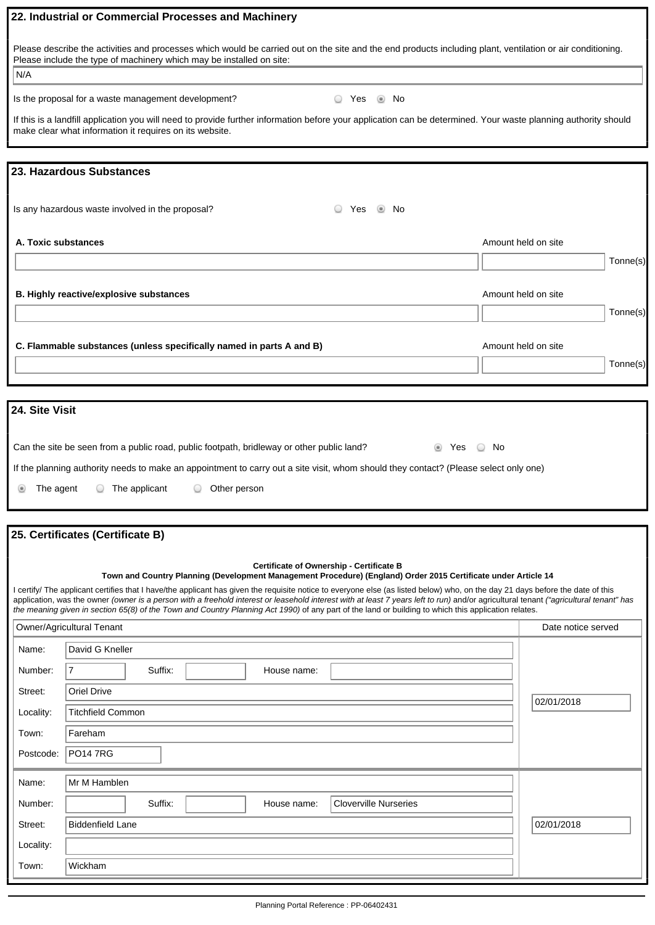|                     | 22. Industrial or Commercial Processes and Machinery                                                                                                                                                                                                                                                                                          |                     |          |
|---------------------|-----------------------------------------------------------------------------------------------------------------------------------------------------------------------------------------------------------------------------------------------------------------------------------------------------------------------------------------------|---------------------|----------|
|                     | Please describe the activities and processes which would be carried out on the site and the end products including plant, ventilation or air conditioning.                                                                                                                                                                                    |                     |          |
| N/A                 | Please include the type of machinery which may be installed on site:                                                                                                                                                                                                                                                                          |                     |          |
|                     |                                                                                                                                                                                                                                                                                                                                               |                     |          |
|                     | Is the proposal for a waste management development?<br>◯ Yes<br>l No                                                                                                                                                                                                                                                                          |                     |          |
|                     | If this is a landfill application you will need to provide further information before your application can be determined. Your waste planning authority should<br>make clear what information it requires on its website.                                                                                                                     |                     |          |
|                     | 23. Hazardous Substances                                                                                                                                                                                                                                                                                                                      |                     |          |
|                     |                                                                                                                                                                                                                                                                                                                                               |                     |          |
|                     | Is any hazardous waste involved in the proposal?<br>$\circledast$<br>Yes<br>. No                                                                                                                                                                                                                                                              |                     |          |
| A. Toxic substances |                                                                                                                                                                                                                                                                                                                                               | Amount held on site |          |
|                     |                                                                                                                                                                                                                                                                                                                                               |                     | Tonne(s) |
|                     |                                                                                                                                                                                                                                                                                                                                               |                     |          |
|                     | B. Highly reactive/explosive substances                                                                                                                                                                                                                                                                                                       | Amount held on site | Tonne(s) |
|                     |                                                                                                                                                                                                                                                                                                                                               |                     |          |
|                     | C. Flammable substances (unless specifically named in parts A and B)                                                                                                                                                                                                                                                                          | Amount held on site |          |
|                     |                                                                                                                                                                                                                                                                                                                                               |                     | Tonne(s) |
|                     |                                                                                                                                                                                                                                                                                                                                               |                     |          |
| 24. Site Visit      |                                                                                                                                                                                                                                                                                                                                               |                     |          |
|                     |                                                                                                                                                                                                                                                                                                                                               |                     |          |
|                     | Can the site be seen from a public road, public footpath, bridleway or other public land?<br>○ No<br>ties Yes                                                                                                                                                                                                                                 |                     |          |
|                     | If the planning authority needs to make an appointment to carry out a site visit, whom should they contact? (Please select only one)                                                                                                                                                                                                          |                     |          |
| The agent<br>అ      | $\circ$ The applicant<br>Other person<br>$\cup$                                                                                                                                                                                                                                                                                               |                     |          |
|                     |                                                                                                                                                                                                                                                                                                                                               |                     |          |
|                     | 25. Certificates (Certificate B)                                                                                                                                                                                                                                                                                                              |                     |          |
|                     | Certificate of Ownership - Certificate B                                                                                                                                                                                                                                                                                                      |                     |          |
|                     | Town and Country Planning (Development Management Procedure) (England) Order 2015 Certificate under Article 14<br>I certify/ The applicant certifies that I have/the applicant has given the requisite notice to everyone else (as listed below) who, on the day 21 days before the date of this                                              |                     |          |
|                     | application, was the owner (owner is a person with a freehold interest or leasehold interest with at least 7 years left to run) and/or agricultural tenant ("agricultural tenant" has<br>the meaning given in section 65(8) of the Town and Country Planning Act 1990) of any part of the land or building to which this application relates. |                     |          |
|                     | Owner/Agricultural Tenant                                                                                                                                                                                                                                                                                                                     | Date notice served  |          |
| Name:               | David G Kneller                                                                                                                                                                                                                                                                                                                               |                     |          |
| Number:             | $\overline{7}$<br>Suffix:<br>House name:                                                                                                                                                                                                                                                                                                      |                     |          |
| Street:             | Oriel Drive                                                                                                                                                                                                                                                                                                                                   |                     |          |
| Locality:           | <b>Titchfield Common</b>                                                                                                                                                                                                                                                                                                                      | 02/01/2018          |          |
| Town:               | Fareham                                                                                                                                                                                                                                                                                                                                       |                     |          |
| Postcode:           | <b>PO14 7RG</b>                                                                                                                                                                                                                                                                                                                               |                     |          |
| Name:               | Mr M Hamblen                                                                                                                                                                                                                                                                                                                                  |                     |          |
| Number:             | Suffix:<br><b>Cloverville Nurseries</b><br>House name:                                                                                                                                                                                                                                                                                        |                     |          |
| Street:             | <b>Biddenfield Lane</b>                                                                                                                                                                                                                                                                                                                       | 02/01/2018          |          |
| Locality:           |                                                                                                                                                                                                                                                                                                                                               |                     |          |
| Town:               | Wickham                                                                                                                                                                                                                                                                                                                                       |                     |          |
|                     |                                                                                                                                                                                                                                                                                                                                               |                     |          |